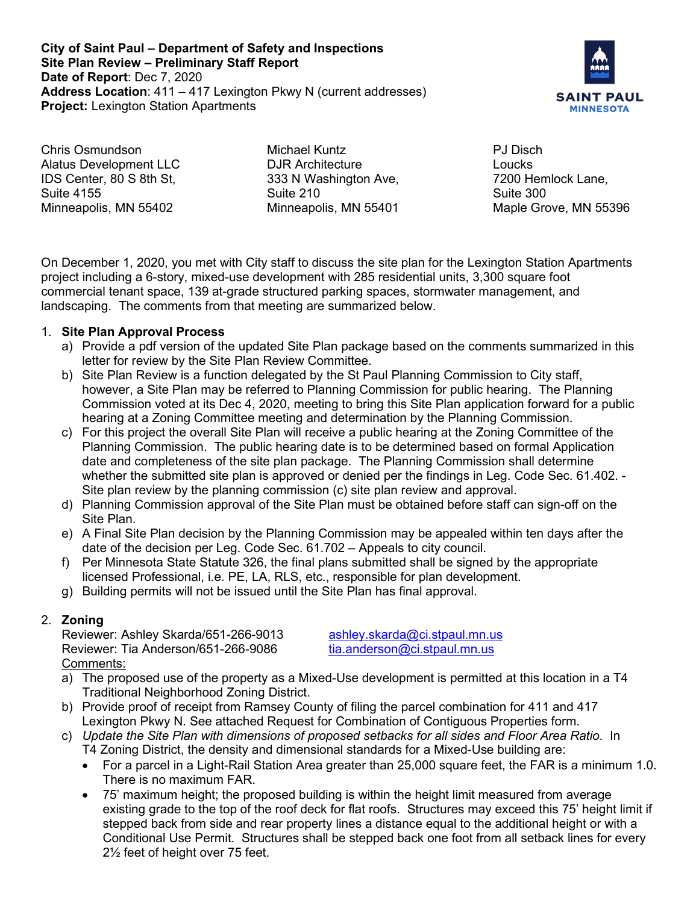**City of Saint Paul – Department of Safety and Inspections Site Plan Review – Preliminary Staff Report Date of Report**: Dec 7, 2020 **Address Location**: 411 – 417 Lexington Pkwy N (current addresses) **Project:** Lexington Station Apartments



Chris Osmundson Alatus Development LLC IDS Center, 80 S 8th St, Suite 4155 Minneapolis, MN 55402

Michael Kuntz DJR Architecture 333 N Washington Ave, Suite 210 Minneapolis, MN 55401

PJ Disch Loucks 7200 Hemlock Lane, Suite 300 Maple Grove, MN 55396

On December 1, 2020, you met with City staff to discuss the site plan for the Lexington Station Apartments project including a 6-story, mixed-use development with 285 residential units, 3,300 square foot commercial tenant space, 139 at-grade structured parking spaces, stormwater management, and landscaping. The comments from that meeting are summarized below.

### 1. **Site Plan Approval Process**

- a) Provide a pdf version of the updated Site Plan package based on the comments summarized in this letter for review by the Site Plan Review Committee.
- b) Site Plan Review is a function delegated by the St Paul Planning Commission to City staff, however, a Site Plan may be referred to Planning Commission for public hearing. The Planning Commission voted at its Dec 4, 2020, meeting to bring this Site Plan application forward for a public hearing at a Zoning Committee meeting and determination by the Planning Commission.
- c) For this project the overall Site Plan will receive a public hearing at the Zoning Committee of the Planning Commission. The public hearing date is to be determined based on formal Application date and completeness of the site plan package. The Planning Commission shall determine whether the submitted site plan is approved or denied per the findings in Leg. Code Sec. 61.402. - Site plan review by the planning commission (c) site plan review and approval.
- d) Planning Commission approval of the Site Plan must be obtained before staff can sign-off on the Site Plan.
- e) A Final Site Plan decision by the Planning Commission may be appealed within ten days after the date of the decision per Leg. Code Sec. 61.702 – Appeals to city council.
- f) Per Minnesota State Statute 326, the final plans submitted shall be signed by the appropriate licensed Professional, i.e. PE, LA, RLS, etc., responsible for plan development.
- g) Building permits will not be issued until the Site Plan has final approval.

## 2. **Zoning**

Reviewer: Ashley Skarda/651-266-9013 [ashley.skarda@ci.stpaul.mn.us](mailto:ashley.skarda@ci.stpaul.mn.us) Reviewer: Tia Anderson/651-266-9086 [tia.anderson@ci.stpaul.mn.us](mailto:tia.anderson@ci.stpaul.mn.us) Comments:

- a) The proposed use of the property as a Mixed-Use development is permitted at this location in a T4 Traditional Neighborhood Zoning District.
- b) Provide proof of receipt from Ramsey County of filing the parcel combination for 411 and 417 Lexington Pkwy N. See attached Request for Combination of Contiguous Properties form.
- c) *Update the Site Plan with dimensions of proposed setbacks for all sides and Floor Area Ratio*. In T4 Zoning District, the density and dimensional standards for a Mixed-Use building are:
	- For a parcel in a Light-Rail Station Area greater than 25,000 square feet, the FAR is a minimum 1.0. There is no maximum FAR.
	- 75' maximum height; the proposed building is within the height limit measured from average existing grade to the top of the roof deck for flat roofs. Structures may exceed this 75' height limit if stepped back from side and rear property lines a distance equal to the additional height or with a Conditional Use Permit. Structures shall be stepped back one foot from all setback lines for every 2½ feet of height over 75 feet.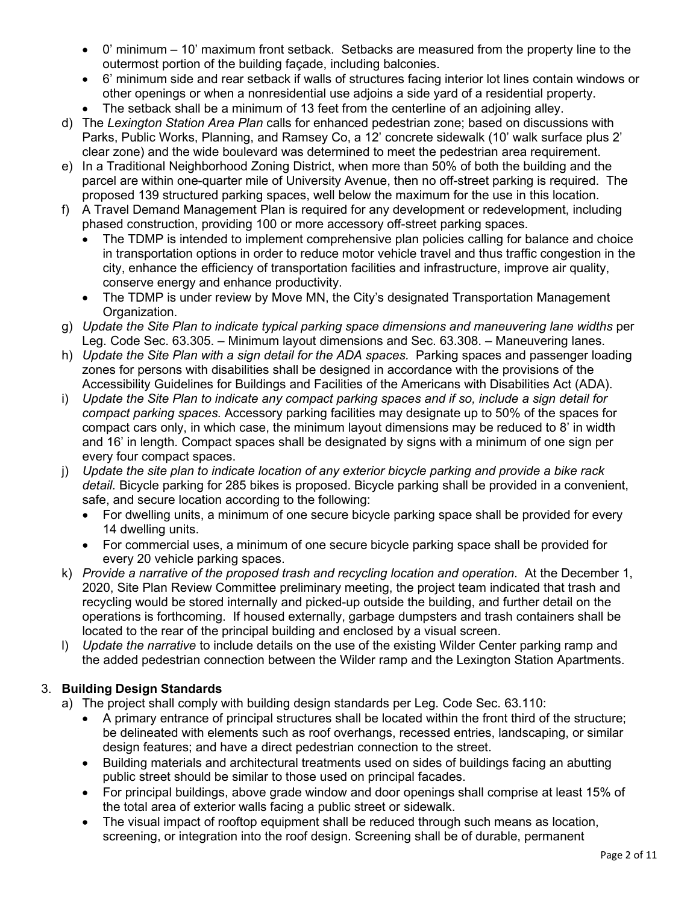- 0' minimum 10' maximum front setback. Setbacks are measured from the property line to the outermost portion of the building façade, including balconies.
- 6' minimum side and rear setback if walls of structures facing interior lot lines contain windows or other openings or when a nonresidential use adjoins a side yard of a residential property.
- The setback shall be a minimum of 13 feet from the centerline of an adjoining alley.
- d) The *Lexington Station Area Plan* calls for enhanced pedestrian zone; based on discussions with Parks, Public Works, Planning, and Ramsey Co, a 12' concrete sidewalk (10' walk surface plus 2' clear zone) and the wide boulevard was determined to meet the pedestrian area requirement.
- e) In a Traditional Neighborhood Zoning District, when more than 50% of both the building and the parcel are within one-quarter mile of University Avenue, then no off-street parking is required. The proposed 139 structured parking spaces, well below the maximum for the use in this location.
- f) A Travel Demand Management Plan is required for any development or redevelopment, including phased construction, providing 100 or more accessory off-street parking spaces.
	- The TDMP is intended to implement comprehensive plan policies calling for balance and choice in transportation options in order to reduce motor vehicle travel and thus traffic congestion in the city, enhance the efficiency of transportation facilities and infrastructure, improve air quality, conserve energy and enhance productivity.
	- The TDMP is under review by Move MN, the City's designated Transportation Management Organization.
- g) *Update the Site Plan to indicate typical parking space dimensions and maneuvering lane widths* per Leg. Code Sec. 63.305. – Minimum layout dimensions and Sec. 63.308. – Maneuvering lanes.
- h) *Update the Site Plan with a sign detail for the ADA spaces.* Parking spaces and passenger loading zones for persons with disabilities shall be designed in accordance with the provisions of the Accessibility Guidelines for Buildings and Facilities of the Americans with Disabilities Act (ADA).
- i) *Update the Site Plan to indicate any compact parking spaces and if so, include a sign detail for compact parking spaces.* Accessory parking facilities may designate up to 50% of the spaces for compact cars only, in which case, the minimum layout dimensions may be reduced to 8' in width and 16' in length. Compact spaces shall be designated by signs with a minimum of one sign per every four compact spaces.
- j) *Update the site plan to indicate location of any exterior bicycle parking and provide a bike rack detail.* Bicycle parking for 285 bikes is proposed. Bicycle parking shall be provided in a convenient, safe, and secure location according to the following:
	- For dwelling units, a minimum of one secure bicycle parking space shall be provided for every 14 dwelling units.
	- For commercial uses, a minimum of one secure bicycle parking space shall be provided for every 20 vehicle parking spaces.
- k) *Provide a narrative of the proposed trash and recycling location and operation*. At the December 1, 2020, Site Plan Review Committee preliminary meeting, the project team indicated that trash and recycling would be stored internally and picked-up outside the building, and further detail on the operations is forthcoming. If housed externally, garbage dumpsters and trash containers shall be located to the rear of the principal building and enclosed by a visual screen.
- l) *Update the narrative* to include details on the use of the existing Wilder Center parking ramp and the added pedestrian connection between the Wilder ramp and the Lexington Station Apartments.

## 3. **Building Design Standards**

- a) The project shall comply with building design standards per Leg. Code Sec. 63.110:
	- A primary entrance of principal structures shall be located within the front third of the structure; be delineated with elements such as roof overhangs, recessed entries, landscaping, or similar design features; and have a direct pedestrian connection to the street.
	- Building materials and architectural treatments used on sides of buildings facing an abutting public street should be similar to those used on principal facades.
	- For principal buildings, above grade window and door openings shall comprise at least 15% of the total area of exterior walls facing a public street or sidewalk.
	- The visual impact of rooftop equipment shall be reduced through such means as location, screening, or integration into the roof design. Screening shall be of durable, permanent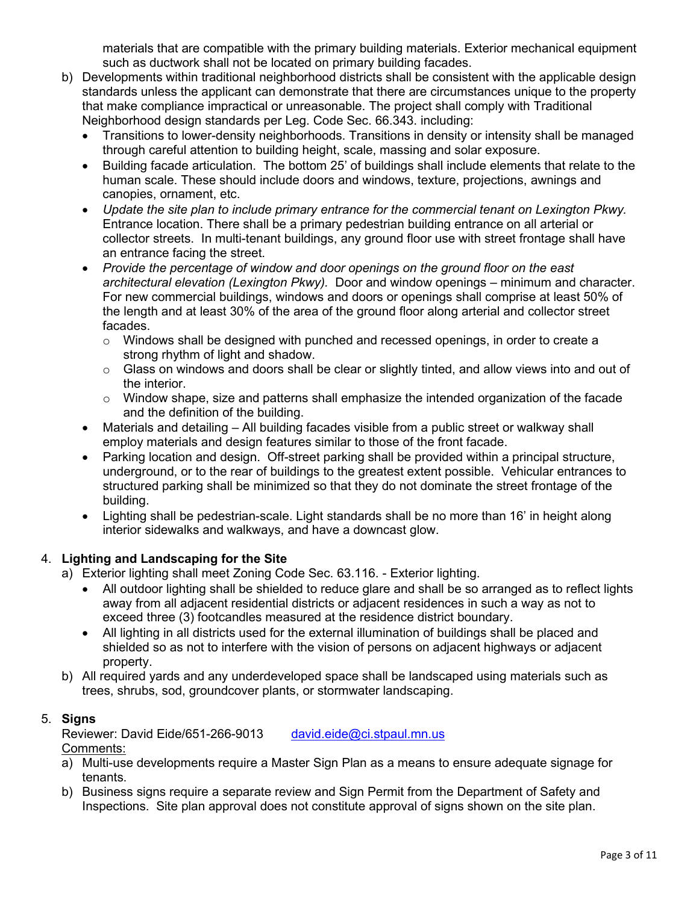materials that are compatible with the primary building materials. Exterior mechanical equipment such as ductwork shall not be located on primary building facades.

- b) Developments within traditional neighborhood districts shall be consistent with the applicable design standards unless the applicant can demonstrate that there are circumstances unique to the property that make compliance impractical or unreasonable. The project shall comply with Traditional Neighborhood design standards per Leg. Code Sec. 66.343. including:
	- Transitions to lower-density neighborhoods. Transitions in density or intensity shall be managed through careful attention to building height, scale, massing and solar exposure.
	- Building facade articulation. The bottom 25' of buildings shall include elements that relate to the human scale. These should include doors and windows, texture, projections, awnings and canopies, ornament, etc.
	- *Update the site plan to include primary entrance for the commercial tenant on Lexington Pkwy.*  Entrance location. There shall be a primary pedestrian building entrance on all arterial or collector streets. In multi-tenant buildings, any ground floor use with street frontage shall have an entrance facing the street.
	- *Provide the percentage of window and door openings on the ground floor on the east architectural elevation (Lexington Pkwy).* Door and window openings – minimum and character. For new commercial buildings, windows and doors or openings shall comprise at least 50% of the length and at least 30% of the area of the ground floor along arterial and collector street facades.
		- $\circ$  Windows shall be designed with punched and recessed openings, in order to create a strong rhythm of light and shadow.
		- $\circ$  Glass on windows and doors shall be clear or slightly tinted, and allow views into and out of the interior.
		- $\circ$  Window shape, size and patterns shall emphasize the intended organization of the facade and the definition of the building.
	- Materials and detailing All building facades visible from a public street or walkway shall employ materials and design features similar to those of the front facade.
	- Parking location and design. Off-street parking shall be provided within a principal structure, underground, or to the rear of buildings to the greatest extent possible. Vehicular entrances to structured parking shall be minimized so that they do not dominate the street frontage of the building.
	- Lighting shall be pedestrian-scale. Light standards shall be no more than 16' in height along interior sidewalks and walkways, and have a downcast glow.

## 4. **Lighting and Landscaping for the Site**

- a) Exterior lighting shall meet Zoning Code Sec. 63.116. Exterior lighting.
	- All outdoor lighting shall be shielded to reduce glare and shall be so arranged as to reflect lights away from all adjacent residential districts or adjacent residences in such a way as not to exceed three (3) footcandles measured at the residence district boundary.
	- All lighting in all districts used for the external illumination of buildings shall be placed and shielded so as not to interfere with the vision of persons on adjacent highways or adjacent property.
- b) All required yards and any underdeveloped space shall be landscaped using materials such as trees, shrubs, sod, groundcover plants, or stormwater landscaping.

## 5. **Signs**

Reviewer: David Eide/651-266-9013 [david.eide@ci.stpaul.mn.us](mailto:david.eide@ci.stpaul.mn.us) Comments:

- a) Multi-use developments require a Master Sign Plan as a means to ensure adequate signage for tenants.
- b) Business signs require a separate review and Sign Permit from the Department of Safety and Inspections. Site plan approval does not constitute approval of signs shown on the site plan.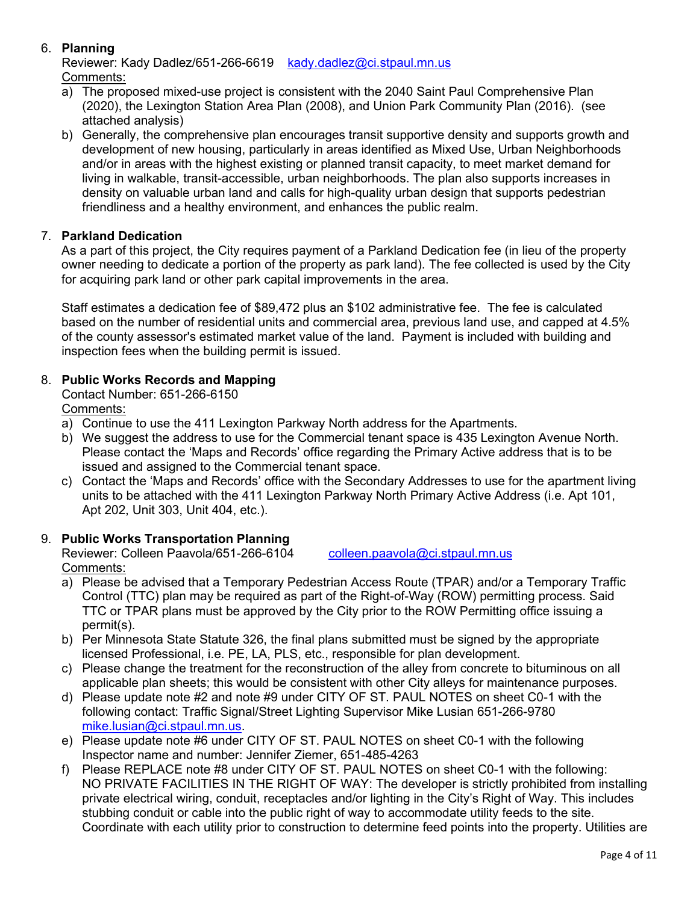# 6. **Planning**

Reviewer: Kady Dadlez/651-266-6619 [kady.dadlez@ci.stpaul.mn.us](mailto:kady.dadlez@ci.stpaul.mn.us) Comments:

- a) The proposed mixed-use project is consistent with the 2040 Saint Paul Comprehensive Plan (2020), the Lexington Station Area Plan (2008), and Union Park Community Plan (2016). (see attached analysis)
- b) Generally, the comprehensive plan encourages transit supportive density and supports growth and development of new housing, particularly in areas identified as Mixed Use, Urban Neighborhoods and/or in areas with the highest existing or planned transit capacity, to meet market demand for living in walkable, transit-accessible, urban neighborhoods. The plan also supports increases in density on valuable urban land and calls for high-quality urban design that supports pedestrian friendliness and a healthy environment, and enhances the public realm.

### 7. **Parkland Dedication**

As a part of this project, the City requires payment of a Parkland Dedication fee (in lieu of the property owner needing to dedicate a portion of the property as park land). The fee collected is used by the City for acquiring park land or other park capital improvements in the area.

Staff estimates a dedication fee of \$89,472 plus an \$102 administrative fee. The fee is calculated based on the number of residential units and commercial area, previous land use, and capped at 4.5% of the county assessor's estimated market value of the land. Payment is included with building and inspection fees when the building permit is issued.

## 8. **Public Works Records and Mapping**

Contact Number: 651-266-6150

Comments:

- a) Continue to use the 411 Lexington Parkway North address for the Apartments.
- b) We suggest the address to use for the Commercial tenant space is 435 Lexington Avenue North. Please contact the 'Maps and Records' office regarding the Primary Active address that is to be issued and assigned to the Commercial tenant space.
- c) Contact the 'Maps and Records' office with the Secondary Addresses to use for the apartment living units to be attached with the 411 Lexington Parkway North Primary Active Address (i.e. Apt 101, Apt 202, Unit 303, Unit 404, etc.).

## 9. **Public Works Transportation Planning**

Reviewer: Colleen Paavola/651-266-6104 [colleen.paavola@ci.stpaul.mn.us](mailto:colleen.paavola@ci.stpaul.mn.us) Comments:

- 
- a) Please be advised that a Temporary Pedestrian Access Route (TPAR) and/or a Temporary Traffic Control (TTC) plan may be required as part of the Right-of-Way (ROW) permitting process. Said TTC or TPAR plans must be approved by the City prior to the ROW Permitting office issuing a permit(s).
- b) Per Minnesota State Statute 326, the final plans submitted must be signed by the appropriate licensed Professional, i.e. PE, LA, PLS, etc., responsible for plan development.
- c) Please change the treatment for the reconstruction of the alley from concrete to bituminous on all applicable plan sheets; this would be consistent with other City alleys for maintenance purposes.
- d) Please update note #2 and note #9 under CITY OF ST. PAUL NOTES on sheet C0-1 with the following contact: Traffic Signal/Street Lighting Supervisor Mike Lusian 651-266-9780 [mike.lusian@ci.stpaul.mn.us.](mailto:mike.lusian@ci.stpaul.mn.us)
- e) Please update note #6 under CITY OF ST. PAUL NOTES on sheet C0-1 with the following Inspector name and number: Jennifer Ziemer, 651-485-4263
- f) Please REPLACE note #8 under CITY OF ST. PAUL NOTES on sheet C0-1 with the following: NO PRIVATE FACILITIES IN THE RIGHT OF WAY: The developer is strictly prohibited from installing private electrical wiring, conduit, receptacles and/or lighting in the City's Right of Way. This includes stubbing conduit or cable into the public right of way to accommodate utility feeds to the site. Coordinate with each utility prior to construction to determine feed points into the property. Utilities are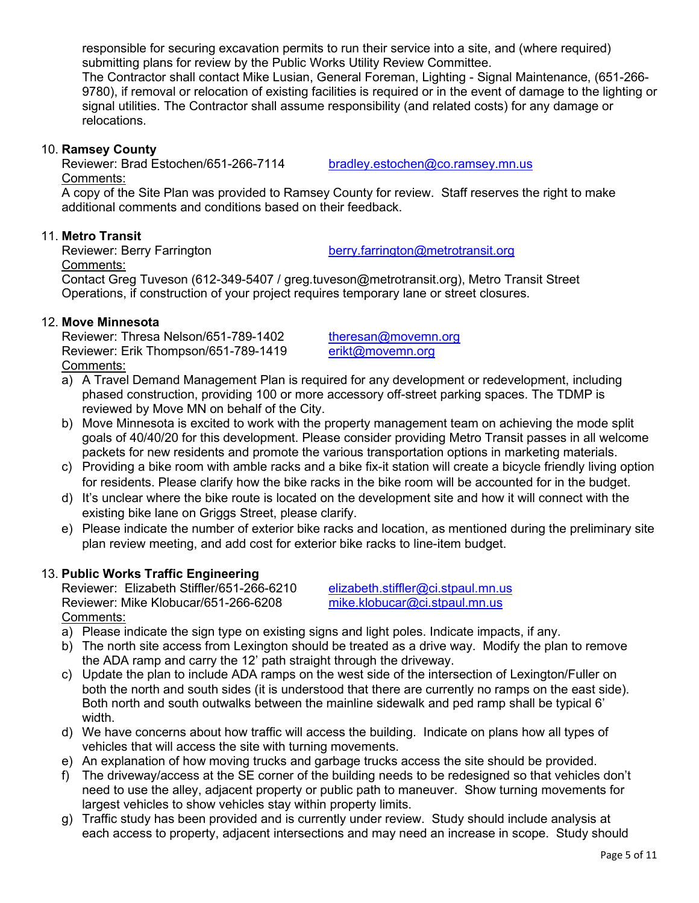responsible for securing excavation permits to run their service into a site, and (where required) submitting plans for review by the Public Works Utility Review Committee.

The Contractor shall contact Mike Lusian, General Foreman, Lighting - Signal Maintenance, (651-266- 9780), if removal or relocation of existing facilities is required or in the event of damage to the lighting or signal utilities. The Contractor shall assume responsibility (and related costs) for any damage or relocations.

#### 10. **Ramsey County**

Reviewer: Brad Estochen/651-266-7114 [bradley.estochen@co.ramsey.mn.us](mailto:bradley.estochen@co.ramsey.mn.us) Comments:

A copy of the Site Plan was provided to Ramsey County for review. Staff reserves the right to make additional comments and conditions based on their feedback.

### 11. **Metro Transit**

Comments:

Reviewer: Berry Farrington [berry.farrington@metrotransit.org](mailto:berry.farrington@metrotransit.org)

Contact Greg Tuveson (612-349-5407 / [greg.tuveson@metrotransit.org\)](mailto:greg.tuveson@metrotransit.org), Metro Transit Street Operations, if construction of your project requires temporary lane or street closures.

#### 12. **Move Minnesota**

Reviewer: Thresa Nelson/651-789-1402 [theresan@movemn.org](mailto:theresan@movemn.org) Reviewer: Erik Thompson/651-789-1419 [erikt@movemn.org](mailto:erikt@movemn.org) Comments:

- a) A Travel Demand Management Plan is required for any development or redevelopment, including phased construction, providing 100 or more accessory off-street parking spaces. The TDMP is reviewed by Move MN on behalf of the City.
- b) Move Minnesota is excited to work with the property management team on achieving the mode split goals of 40/40/20 for this development. Please consider providing Metro Transit passes in all welcome packets for new residents and promote the various transportation options in marketing materials.
- c) Providing a bike room with amble racks and a bike fix-it station will create a bicycle friendly living option for residents. Please clarify how the bike racks in the bike room will be accounted for in the budget.
- d) It's unclear where the bike route is located on the development site and how it will connect with the existing bike lane on Griggs Street, please clarify.
- e) Please indicate the number of exterior bike racks and location, as mentioned during the preliminary site plan review meeting, and add cost for exterior bike racks to line-item budget.

#### 13. **Public Works Traffic Engineering**

Reviewer: Elizabeth Stiffler/651-266-6210 [elizabeth.stiffler@ci.stpaul.mn.us](mailto:elizabeth.stiffler@ci.stpaul.mn.us)<br>Reviewer: Mike Klobucar/651-266-6208 mike.klobucar@ci.stpaul.mn.us Reviewer: Mike Klobucar/651-266-6208 Comments:

- a) Please indicate the sign type on existing signs and light poles. Indicate impacts, if any.
- b) The north site access from Lexington should be treated as a drive way. Modify the plan to remove the ADA ramp and carry the 12' path straight through the driveway.
- c) Update the plan to include ADA ramps on the west side of the intersection of Lexington/Fuller on both the north and south sides (it is understood that there are currently no ramps on the east side). Both north and south outwalks between the mainline sidewalk and ped ramp shall be typical 6' width.
- d) We have concerns about how traffic will access the building. Indicate on plans how all types of vehicles that will access the site with turning movements.
- e) An explanation of how moving trucks and garbage trucks access the site should be provided.
- f) The driveway/access at the SE corner of the building needs to be redesigned so that vehicles don't need to use the alley, adjacent property or public path to maneuver. Show turning movements for largest vehicles to show vehicles stay within property limits.
- g) Traffic study has been provided and is currently under review. Study should include analysis at each access to property, adjacent intersections and may need an increase in scope. Study should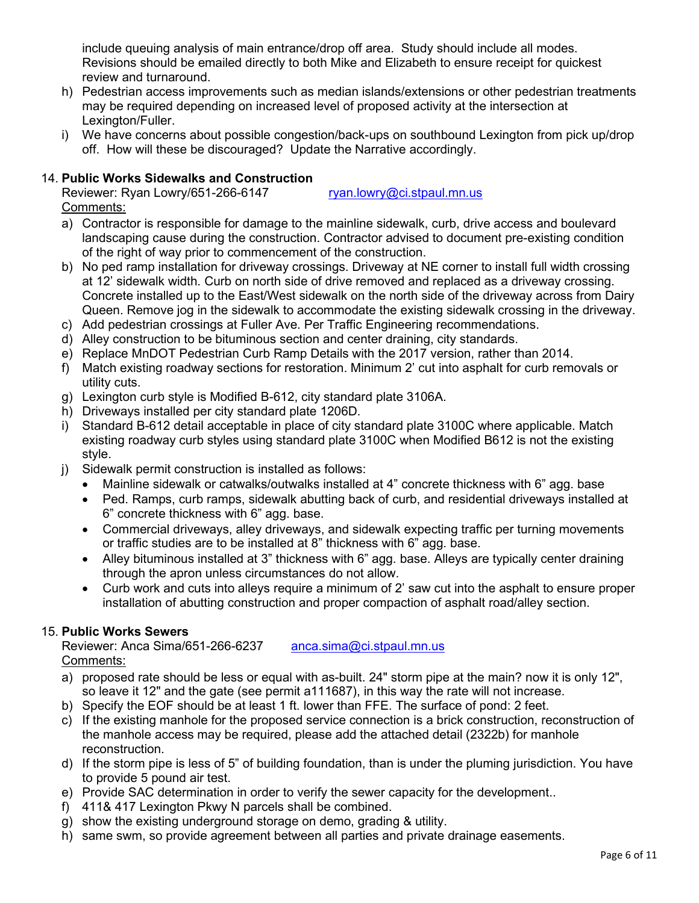include queuing analysis of main entrance/drop off area. Study should include all modes. Revisions should be emailed directly to both Mike and Elizabeth to ensure receipt for quickest review and turnaround.

- h) Pedestrian access improvements such as median islands/extensions or other pedestrian treatments may be required depending on increased level of proposed activity at the intersection at Lexington/Fuller.
- i) We have concerns about possible congestion/back-ups on southbound Lexington from pick up/drop off. How will these be discouraged? Update the Narrative accordingly.

# 14. **Public Works Sidewalks and Construction**

Reviewer: Ryan Lowry/651-266-6147 [ryan.lowry@ci.stpaul.mn.us](mailto:ryan.lowry@ci.stpaul.mn.us) Comments:

a) Contractor is responsible for damage to the mainline sidewalk, curb, drive access and boulevard landscaping cause during the construction. Contractor advised to document pre-existing condition of the right of way prior to commencement of the construction.

- b) No ped ramp installation for driveway crossings. Driveway at NE corner to install full width crossing at 12' sidewalk width. Curb on north side of drive removed and replaced as a driveway crossing. Concrete installed up to the East/West sidewalk on the north side of the driveway across from Dairy Queen. Remove jog in the sidewalk to accommodate the existing sidewalk crossing in the driveway.
- c) Add pedestrian crossings at Fuller Ave. Per Traffic Engineering recommendations.
- d) Alley construction to be bituminous section and center draining, city standards.
- e) Replace MnDOT Pedestrian Curb Ramp Details with the 2017 version, rather than 2014.
- f) Match existing roadway sections for restoration. Minimum 2' cut into asphalt for curb removals or utility cuts.
- g) Lexington curb style is Modified B-612, city standard plate 3106A.
- h) Driveways installed per city standard plate 1206D.
- i) Standard B-612 detail acceptable in place of city standard plate 3100C where applicable. Match existing roadway curb styles using standard plate 3100C when Modified B612 is not the existing style.
- j) Sidewalk permit construction is installed as follows:
	- Mainline sidewalk or catwalks/outwalks installed at 4" concrete thickness with 6" agg. base
	- Ped. Ramps, curb ramps, sidewalk abutting back of curb, and residential driveways installed at 6" concrete thickness with 6" agg. base.
	- Commercial driveways, alley driveways, and sidewalk expecting traffic per turning movements or traffic studies are to be installed at 8" thickness with 6" agg. base.
	- Alley bituminous installed at 3" thickness with 6" agg. base. Alleys are typically center draining through the apron unless circumstances do not allow.
	- Curb work and cuts into alleys require a minimum of 2' saw cut into the asphalt to ensure proper installation of abutting construction and proper compaction of asphalt road/alley section.

## 15. **Public Works Sewers**

Reviewer: Anca Sima/651-266-6237 [anca.sima@ci.stpaul.mn.us](mailto:anca.sima@ci.stpaul.mn.us) Comments:

- a) proposed rate should be less or equal with as-built. 24" storm pipe at the main? now it is only 12", so leave it 12" and the gate (see permit a111687), in this way the rate will not increase.
- b) Specify the EOF should be at least 1 ft. lower than FFE. The surface of pond: 2 feet.
- c) If the existing manhole for the proposed service connection is a brick construction, reconstruction of the manhole access may be required, please add the attached detail (2322b) for manhole reconstruction.
- d) If the storm pipe is less of 5" of building foundation, than is under the pluming jurisdiction. You have to provide 5 pound air test.
- e) Provide SAC determination in order to verify the sewer capacity for the development..
- f) 411& 417 Lexington Pkwy N parcels shall be combined.
- g) show the existing underground storage on demo, grading & utility.
- h) same swm, so provide agreement between all parties and private drainage easements.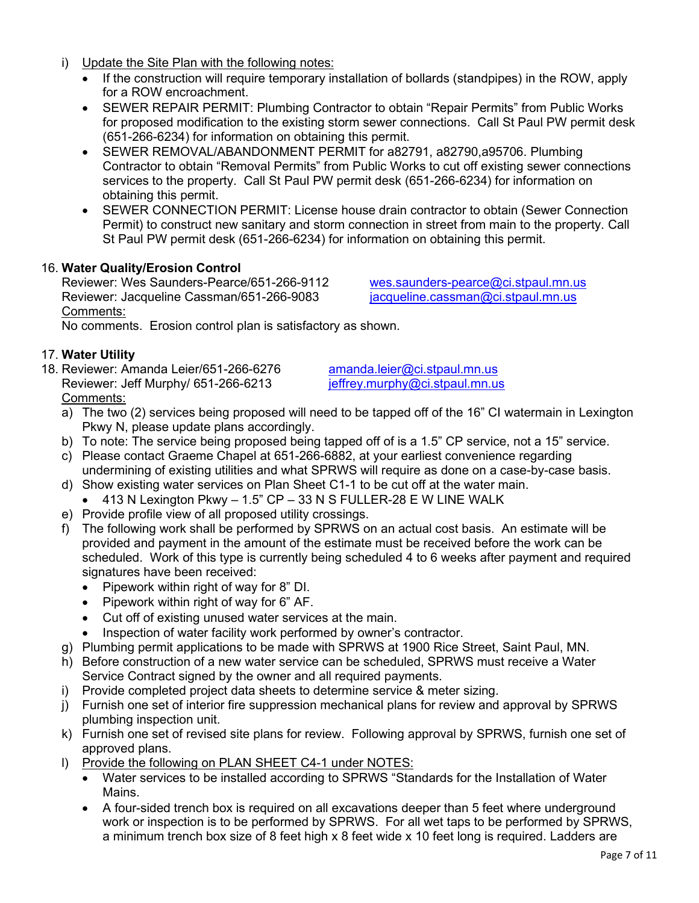- i) Update the Site Plan with the following notes:
	- If the construction will require temporary installation of bollards (standpipes) in the ROW, apply for a ROW encroachment.
	- SEWER REPAIR PERMIT: Plumbing Contractor to obtain "Repair Permits" from Public Works for proposed modification to the existing storm sewer connections. Call St Paul PW permit desk (651-266-6234) for information on obtaining this permit.
	- SEWER REMOVAL/ABANDONMENT PERMIT for a82791, a82790,a95706. Plumbing Contractor to obtain "Removal Permits" from Public Works to cut off existing sewer connections services to the property. Call St Paul PW permit desk (651-266-6234) for information on obtaining this permit.
	- SEWER CONNECTION PERMIT: License house drain contractor to obtain (Sewer Connection Permit) to construct new sanitary and storm connection in street from main to the property. Call St Paul PW permit desk (651-266-6234) for information on obtaining this permit.

### 16. **Water Quality/Erosion Control**

Reviewer: Wes Saunders-Pearce/651-266-9112 [wes.saunders-pearce@ci.stpaul.mn.us](mailto:wes.saunders-pearce@ci.stpaul.mn.us) Reviewer: Jacqueline Cassman/651-266-9083 jacqueline.cassman@ci.stpaul.mn.us Comments:

No comments. Erosion control plan is satisfactory as shown.

#### 17. **Water Utility**

18. Reviewer: Amanda Leier/651-266-6276 [amanda.leier@ci.stpaul.mn.us](mailto:amanda.leier@ci.stpaul.mn.us)<br>Reviewer: Jeff Murphy/ 651-266-6213 ieffrey.murphy@ci.stpaul.mn.us Reviewer: Jeff Murphy/ 651-266-6213 Comments:

- a) The two (2) services being proposed will need to be tapped off of the 16" CI watermain in Lexington Pkwy N, please update plans accordingly.
- b) To note: The service being proposed being tapped off of is a 1.5" CP service, not a 15" service.
- c) Please contact Graeme Chapel at 651-266-6882, at your earliest convenience regarding undermining of existing utilities and what SPRWS will require as done on a case-by-case basis.
- d) Show existing water services on Plan Sheet C1-1 to be cut off at the water main.
	- $\bullet$  413 N Lexington Pkwy 1.5" CP 33 N S FULLER-28 E W LINE WALK
- e) Provide profile view of all proposed utility crossings.
- f) The following work shall be performed by SPRWS on an actual cost basis. An estimate will be provided and payment in the amount of the estimate must be received before the work can be scheduled. Work of this type is currently being scheduled 4 to 6 weeks after payment and required signatures have been received:
	- Pipework within right of way for 8" DI.
	- Pipework within right of way for 6" AF.
	- Cut off of existing unused water services at the main.
	- Inspection of water facility work performed by owner's contractor.
- g) Plumbing permit applications to be made with SPRWS at 1900 Rice Street, Saint Paul, MN.
- h) Before construction of a new water service can be scheduled, SPRWS must receive a Water Service Contract signed by the owner and all required payments.
- i) Provide completed project data sheets to determine service & meter sizing.
- j) Furnish one set of interior fire suppression mechanical plans for review and approval by SPRWS plumbing inspection unit.
- k) Furnish one set of revised site plans for review. Following approval by SPRWS, furnish one set of approved plans.
- l) Provide the following on PLAN SHEET C4-1 under NOTES:
	- Water services to be installed according to SPRWS "Standards for the Installation of Water Mains.
	- A four-sided trench box is required on all excavations deeper than 5 feet where underground work or inspection is to be performed by SPRWS. For all wet taps to be performed by SPRWS, a minimum trench box size of 8 feet high x 8 feet wide x 10 feet long is required. Ladders are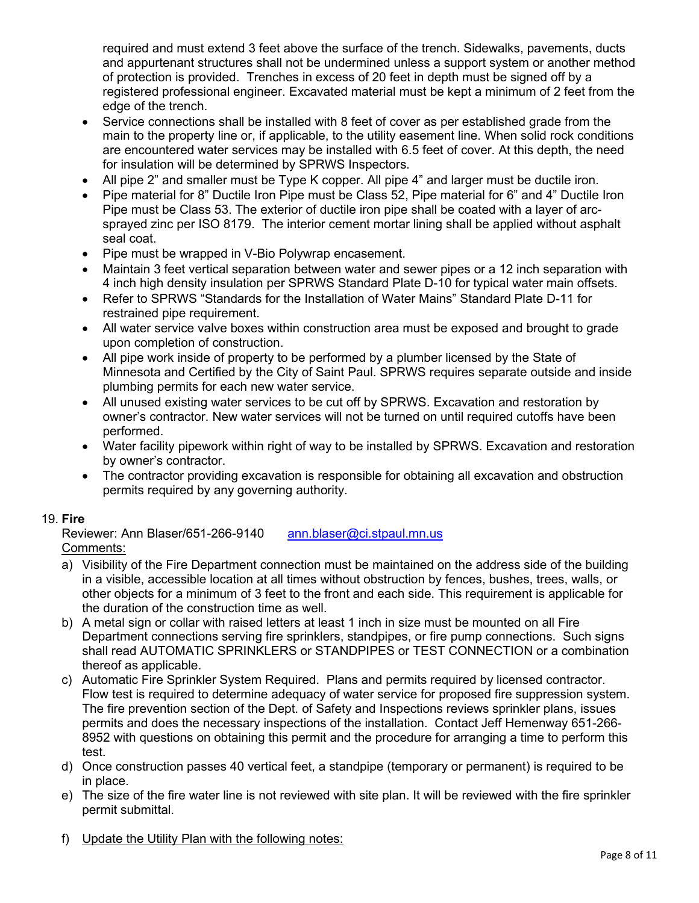required and must extend 3 feet above the surface of the trench. Sidewalks, pavements, ducts and appurtenant structures shall not be undermined unless a support system or another method of protection is provided. Trenches in excess of 20 feet in depth must be signed off by a registered professional engineer. Excavated material must be kept a minimum of 2 feet from the edge of the trench.

- Service connections shall be installed with 8 feet of cover as per established grade from the main to the property line or, if applicable, to the utility easement line. When solid rock conditions are encountered water services may be installed with 6.5 feet of cover. At this depth, the need for insulation will be determined by SPRWS Inspectors.
- All pipe 2" and smaller must be Type K copper. All pipe 4" and larger must be ductile iron.
- Pipe material for 8" Ductile Iron Pipe must be Class 52, Pipe material for 6" and 4" Ductile Iron Pipe must be Class 53. The exterior of ductile iron pipe shall be coated with a layer of arcsprayed zinc per ISO 8179. The interior cement mortar lining shall be applied without asphalt seal coat.
- Pipe must be wrapped in V-Bio Polywrap encasement.
- Maintain 3 feet vertical separation between water and sewer pipes or a 12 inch separation with 4 inch high density insulation per SPRWS Standard Plate D-10 for typical water main offsets.
- Refer to SPRWS "Standards for the Installation of Water Mains" Standard Plate D-11 for restrained pipe requirement.
- All water service valve boxes within construction area must be exposed and brought to grade upon completion of construction.
- All pipe work inside of property to be performed by a plumber licensed by the State of Minnesota and Certified by the City of Saint Paul. SPRWS requires separate outside and inside plumbing permits for each new water service.
- All unused existing water services to be cut off by SPRWS. Excavation and restoration by owner's contractor. New water services will not be turned on until required cutoffs have been performed.
- Water facility pipework within right of way to be installed by SPRWS. Excavation and restoration by owner's contractor.
- The contractor providing excavation is responsible for obtaining all excavation and obstruction permits required by any governing authority.

#### 19. **Fire**

Reviewer: Ann Blaser/651-266-9140 [ann.blaser@ci.stpaul.mn.us](mailto:ann.blaser@ci.stpaul.mn.us)

- Comments:
- a) Visibility of the Fire Department connection must be maintained on the address side of the building in a visible, accessible location at all times without obstruction by fences, bushes, trees, walls, or other objects for a minimum of 3 feet to the front and each side. This requirement is applicable for the duration of the construction time as well.
- b) A metal sign or collar with raised letters at least 1 inch in size must be mounted on all Fire Department connections serving fire sprinklers, standpipes, or fire pump connections. Such signs shall read AUTOMATIC SPRINKLERS or STANDPIPES or TEST CONNECTION or a combination thereof as applicable.
- c) Automatic Fire Sprinkler System Required. Plans and permits required by licensed contractor. Flow test is required to determine adequacy of water service for proposed fire suppression system. The fire prevention section of the Dept. of Safety and Inspections reviews sprinkler plans, issues permits and does the necessary inspections of the installation. Contact Jeff Hemenway 651-266- 8952 with questions on obtaining this permit and the procedure for arranging a time to perform this test.
- d) Once construction passes 40 vertical feet, a standpipe (temporary or permanent) is required to be in place.
- e) The size of the fire water line is not reviewed with site plan. It will be reviewed with the fire sprinkler permit submittal.
- f) Update the Utility Plan with the following notes: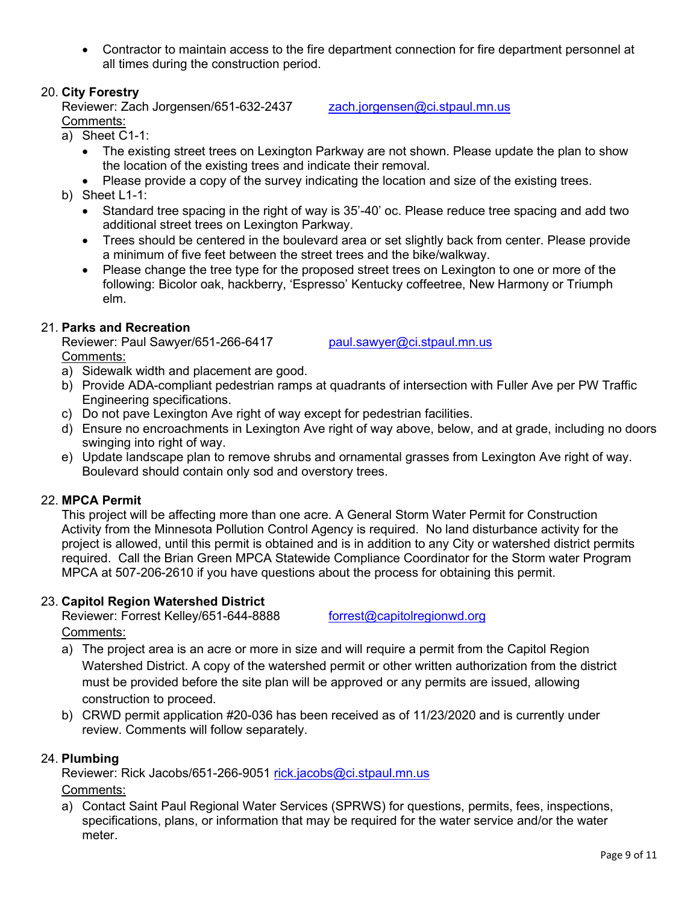• Contractor to maintain access to the fire department connection for fire department personnel at all times during the construction period.

## 20. **City Forestry**

Reviewer: Zach Jorgensen/651-632-2437 [zach.jorgensen@ci.stpaul.mn.us](mailto:zach.jorgensen@ci.stpaul.mn.us) Comments:

- a) Sheet C1-1:
	- The existing street trees on Lexington Parkway are not shown. Please update the plan to show the location of the existing trees and indicate their removal.
	- Please provide a copy of the survey indicating the location and size of the existing trees.
- b) Sheet L1-1:
	- Standard tree spacing in the right of way is 35'-40' oc. Please reduce tree spacing and add two additional street trees on Lexington Parkway.
	- Trees should be centered in the boulevard area or set slightly back from center. Please provide a minimum of five feet between the street trees and the bike/walkway.
	- Please change the tree type for the proposed street trees on Lexington to one or more of the following: Bicolor oak, hackberry, 'Espresso' Kentucky coffeetree, New Harmony or Triumph elm.

## 21. **Parks and Recreation**

Reviewer: Paul Sawyer/651-266-6417 [paul.sawyer@ci.stpaul.mn.us](mailto:david.ronzani@ci.stpaul.mn.us) Comments:

- a) Sidewalk width and placement are good.
- b) Provide ADA-compliant pedestrian ramps at quadrants of intersection with Fuller Ave per PW Traffic Engineering specifications.
- c) Do not pave Lexington Ave right of way except for pedestrian facilities.
- d) Ensure no encroachments in Lexington Ave right of way above, below, and at grade, including no doors swinging into right of way.
- e) Update landscape plan to remove shrubs and ornamental grasses from Lexington Ave right of way. Boulevard should contain only sod and overstory trees.

#### 22. **MPCA Permit**

This project will be affecting more than one acre. A General Storm Water Permit for Construction Activity from the Minnesota Pollution Control Agency is required. No land disturbance activity for the project is allowed, until this permit is obtained and is in addition to any City or watershed district permits required. Call the Brian Green MPCA Statewide Compliance Coordinator for the Storm water Program MPCA at 507-206-2610 if you have questions about the process for obtaining this permit.

#### 23. **Capitol Region Watershed District**

Reviewer: Forrest Kelley/651-644-8888 [forrest@capitolregionwd.org](mailto:forrest@capitolregionwd.org)

Comments:

- a) The project area is an acre or more in size and will require a permit from the Capitol Region Watershed District. A copy of the watershed permit or other written authorization from the district must be provided before the site plan will be approved or any permits are issued, allowing construction to proceed.
- b) CRWD permit application #20-036 has been received as of 11/23/2020 and is currently under review. Comments will follow separately.

## 24. **Plumbing**

Reviewer: Rick Jacobs/651-266-9051 [rick.jacobs@ci.stpaul.mn.us](mailto:rick.jacobs@ci.stpaul.mn.us)

#### Comments:

a) Contact Saint Paul Regional Water Services (SPRWS) for questions, permits, fees, inspections, specifications, plans, or information that may be required for the water service and/or the water meter.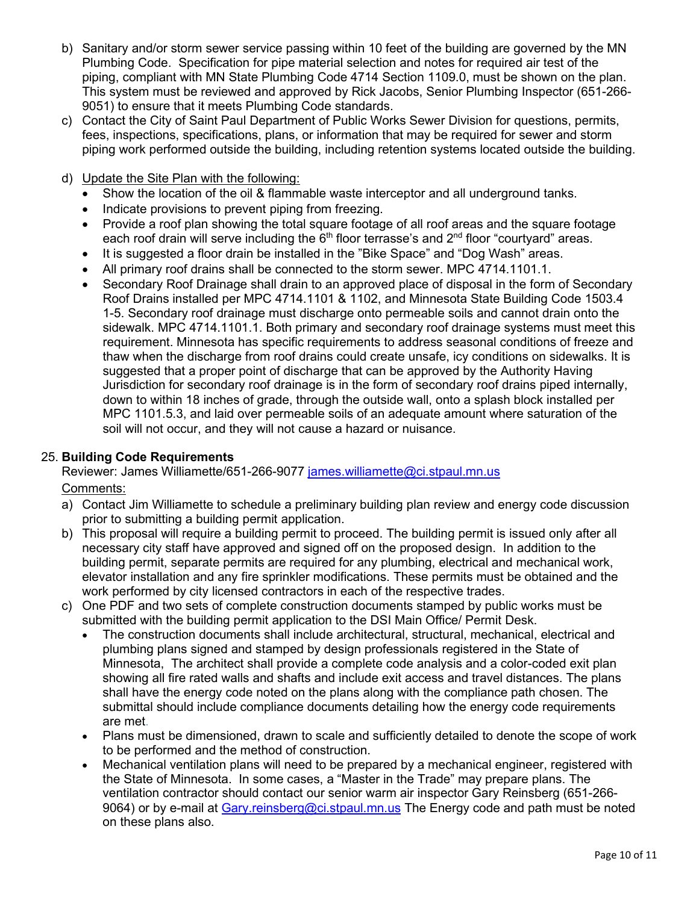- b) Sanitary and/or storm sewer service passing within 10 feet of the building are governed by the MN Plumbing Code. Specification for pipe material selection and notes for required air test of the piping, compliant with MN State Plumbing Code 4714 Section 1109.0, must be shown on the plan. This system must be reviewed and approved by Rick Jacobs, Senior Plumbing Inspector (651-266- 9051) to ensure that it meets Plumbing Code standards.
- c) Contact the City of Saint Paul Department of Public Works Sewer Division for questions, permits, fees, inspections, specifications, plans, or information that may be required for sewer and storm piping work performed outside the building, including retention systems located outside the building.
- d) Update the Site Plan with the following:
	- Show the location of the oil & flammable waste interceptor and all underground tanks.
	- Indicate provisions to prevent piping from freezing.
	- Provide a roof plan showing the total square footage of all roof areas and the square footage each roof drain will serve including the  $6<sup>th</sup>$  floor terrasse's and  $2<sup>nd</sup>$  floor "courtyard" areas.
	- It is suggested a floor drain be installed in the "Bike Space" and "Dog Wash" areas.
	- All primary roof drains shall be connected to the storm sewer. MPC 4714.1101.1.
	- Secondary Roof Drainage shall drain to an approved place of disposal in the form of Secondary Roof Drains installed per MPC 4714.1101 & 1102, and Minnesota State Building Code 1503.4 1-5. Secondary roof drainage must discharge onto permeable soils and cannot drain onto the sidewalk. MPC 4714.1101.1. Both primary and secondary roof drainage systems must meet this requirement. Minnesota has specific requirements to address seasonal conditions of freeze and thaw when the discharge from roof drains could create unsafe, icy conditions on sidewalks. It is suggested that a proper point of discharge that can be approved by the Authority Having Jurisdiction for secondary roof drainage is in the form of secondary roof drains piped internally, down to within 18 inches of grade, through the outside wall, onto a splash block installed per MPC 1101.5.3, and laid over permeable soils of an adequate amount where saturation of the soil will not occur, and they will not cause a hazard or nuisance.

#### 25. **Building Code Requirements**

Reviewer: James Williamette/651-266-9077 james.williamette@ci.stpaul.mn.us

#### Comments:

- a) Contact Jim Williamette to schedule a preliminary building plan review and energy code discussion prior to submitting a building permit application.
- b) This proposal will require a building permit to proceed. The building permit is issued only after all necessary city staff have approved and signed off on the proposed design. In addition to the building permit, separate permits are required for any plumbing, electrical and mechanical work, elevator installation and any fire sprinkler modifications. These permits must be obtained and the work performed by city licensed contractors in each of the respective trades.
- c) One PDF and two sets of complete construction documents stamped by public works must be submitted with the building permit application to the DSI Main Office/ Permit Desk.
	- The construction documents shall include architectural, structural, mechanical, electrical and plumbing plans signed and stamped by design professionals registered in the State of Minnesota, The architect shall provide a complete code analysis and a color-coded exit plan showing all fire rated walls and shafts and include exit access and travel distances. The plans shall have the energy code noted on the plans along with the compliance path chosen. The submittal should include compliance documents detailing how the energy code requirements are met.
	- Plans must be dimensioned, drawn to scale and sufficiently detailed to denote the scope of work to be performed and the method of construction.
	- Mechanical ventilation plans will need to be prepared by a mechanical engineer, registered with the State of Minnesota. In some cases, a "Master in the Trade" may prepare plans. The ventilation contractor should contact our senior warm air inspector Gary Reinsberg (651-266- 9064) or by e-mail at [Gary.reinsberg@ci.stpaul.mn.us](mailto:Gary.reinsberg@ci.stpaul.mn.us) The Energy code and path must be noted on these plans also.